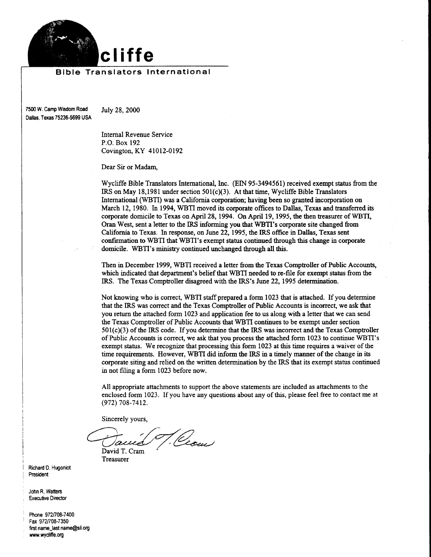

#### Bible Translators International

7500 W. Camp Wisdom Road July 28, 2000 Dallas. Texas 75236-5699 USA

lnternal Revenue Service P.O. Box 192 Covington, KY 41012-0192

Dear Sir or Madam,

Wycliffe Bible Translators International, Inc. (EIN 95-3494561) received exempt status from the IRS on May l8,198l under section 501(c)(3). At that time, Wycliffe Bible Translators International (WBTI) was a California corporation; having been so granted incorporation on March 12, 1980. In 1994, WBTI moved its corporate offices to Dallas, Texas and transfened its corporate domicile to Texas on April 28,1994. On April 19, 1995, the then teasurer of WBTI, Oran West, sent a letter to the IRS informing you that WBTI's corporate site changed from Califonria to Texas. In response, on June 22, 1995, the IRS office in Dallas, Texas sent confiruration to WBTI that WBTI's exempt status continued tbrough this change in corporate domicile. WBTI's ministry continued unchanged through all this.

Then in December 1999, WBTI received a letter from the Texas Comptoller of Public Accounts, which indicated that departrnent's belief that WBTI needed to re-file for exempt status from the IRS. The Texas Comptroller disagreed with the IRS's June 22, 1995 determinatiou.

Not knowing who is correct, WBTI staff prepared a form 1023 that is attached. If you determine that the IRS was conect and the Texas Comptoller of Public Accounts is inconect we ask that you return the attached form 1023 and application fee to us along with a letter that we can send the Texas Comptroller of Public Accounts that WBTI continues to be exempt under section 501(c)(3) of the IRS code. If you determine that the IRS was incorrect and the Texas Comptroller of Public Accounts is correct we ask that you process the attached form 1023 to continue WBTI's exempt status. We recognize that processing this form 1023 at this time requires a waiver of the time requirements. However, WBTI did inform the IRS in a timely manner of the change in its corporate siting and relied on the written determination by the IRS that its exempt status continued in not filing a form 1023 before now.

All appropriate attachments to support the above statements are included as attachments to the enclosed form 1023. Ifyou have any questions about any ofthis, please feel free to contact me at (972) 708-74r2.

Sincerely yours,

T. Cecu David T. Cram

Treasurer

Richard D. Hugoniot President

John R. Watters **Executive Director** 

Phone 972/708-7400 Fax 972/708-7350 first name-last name@sil.org www.wydiffe.oq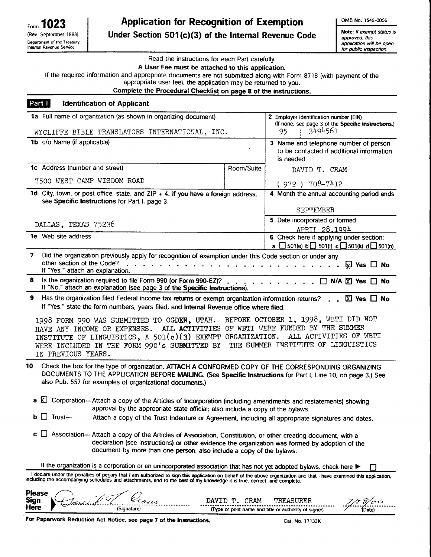| Form 1023                                              |
|--------------------------------------------------------|
| (Rev. September 1998)                                  |
| Department of the Treasury<br>Internal Revenue Service |

# Application for Recognition of Exemption Under Section  $501(c)(3)$  of the Internal Revenue Code

OMB No. 1545-0056

Note: If exempt status is approved. this application will be open for public inspection.

Read the instructions for each Part carefully.

A User Fee must be attached to this application.

If the required information and appropriate documents are not submitted along with Form 8718 (with payment of the

appropriate user fee), the application may be returned to you.

Complete the Procedural Checklist on page 8 of the instructions.

### Part I Identification of Applicant

|                                                                     | 1a Full name of organization (as shown in organizing document)                                                                                                                                                                                                                                                                                                                                                                                                                                                                                                                            | 2 Employer identification number (EIN)<br>(If none, see page 3 of the Specific Instructions.)<br>3494561<br>95 |                                                                                                                                                           |  |  |  |
|---------------------------------------------------------------------|-------------------------------------------------------------------------------------------------------------------------------------------------------------------------------------------------------------------------------------------------------------------------------------------------------------------------------------------------------------------------------------------------------------------------------------------------------------------------------------------------------------------------------------------------------------------------------------------|----------------------------------------------------------------------------------------------------------------|-----------------------------------------------------------------------------------------------------------------------------------------------------------|--|--|--|
|                                                                     | WYCLIFFE BIBLE TRANSLATORS INTERNATIONAL, INC.                                                                                                                                                                                                                                                                                                                                                                                                                                                                                                                                            |                                                                                                                |                                                                                                                                                           |  |  |  |
| 1b c/o Name (if applicable)                                         |                                                                                                                                                                                                                                                                                                                                                                                                                                                                                                                                                                                           |                                                                                                                | 3 Name and telephone number of person<br>to be contacted if additional information<br>is needed                                                           |  |  |  |
| 1c Address (number and street)                                      |                                                                                                                                                                                                                                                                                                                                                                                                                                                                                                                                                                                           | Room/Suite                                                                                                     | DAVID T. CRAM                                                                                                                                             |  |  |  |
|                                                                     | 7500 WEST CAMP WISDOM ROAD                                                                                                                                                                                                                                                                                                                                                                                                                                                                                                                                                                |                                                                                                                | $(972) 708 - 7112$                                                                                                                                        |  |  |  |
|                                                                     | 1d City, town, or post office, state, and $ZIP + 4$ . If you have a foreign address,<br>see Specific Instructions for Part I, page 3.                                                                                                                                                                                                                                                                                                                                                                                                                                                     |                                                                                                                | 4 Month the annual accounting period ends                                                                                                                 |  |  |  |
|                                                                     |                                                                                                                                                                                                                                                                                                                                                                                                                                                                                                                                                                                           |                                                                                                                | <b>SEPTEMBER</b>                                                                                                                                          |  |  |  |
| DALLAS, TEXAS 75236                                                 |                                                                                                                                                                                                                                                                                                                                                                                                                                                                                                                                                                                           |                                                                                                                | 5 Date incorporated or formed<br>APRIL 28,1994                                                                                                            |  |  |  |
| <b>1e</b> Web site address                                          |                                                                                                                                                                                                                                                                                                                                                                                                                                                                                                                                                                                           |                                                                                                                | 6 Check here if applying under section:                                                                                                                   |  |  |  |
|                                                                     |                                                                                                                                                                                                                                                                                                                                                                                                                                                                                                                                                                                           |                                                                                                                | <b>a</b> $\Box$ 501(e) <b>b</b> $\Box$ 501(f) <b>c</b> $\Box$ 501(k) <b>d</b> $\Box$ 501(n)                                                               |  |  |  |
| 7<br>other section of the Code?<br>If "Yes," attach an explanation. | Did the organization previously apply for recognition of exemption under this Code section or under any                                                                                                                                                                                                                                                                                                                                                                                                                                                                                   |                                                                                                                | $\boxdot$ Yes $\Box$ No                                                                                                                                   |  |  |  |
| 8                                                                   | Is the organization required to file Form 990 (or Form 990-EZ)? □ N/A M Yes □ No<br>If "No," attach an explanation (see page 3 of the Specific Instructions).                                                                                                                                                                                                                                                                                                                                                                                                                             |                                                                                                                |                                                                                                                                                           |  |  |  |
| 9<br>IN PREVIOUS YEARS.                                             | Has the organization filed Federal income tax returns or exempt organization information returns? $\boxtimes$ Yes $\Box$ No<br>If "Yes," state the form numbers, years filed, and Internal Revenue office where filed.<br>1998 FORM 990 WAS SUBMITTED TO OGDEN, UTAH.<br>HAVE ANY INCOME OR EXPENSES.<br>INSTITUTE OF LINGUISTICS, A 501(c)(3) EXEMPT ORGANIZATION.<br>WERE INCLUDED IN THE FORM 990's SUBMITTED BY                                                                                                                                                                       |                                                                                                                | BEFORE OCTOBER 1, 1998, WBTI DID NOT<br>ALL ACTIVITIES OF WBTI WERE FUNDED BY THE SUMMER<br>ALL ACTIVITIES OF WBTI<br>THE SUMMER INSTITUTE OF LINGUISTICS |  |  |  |
| 10<br>Trust-                                                        | Check the box for the type of organization. ATTACH A CONFORMED COPY OF THE CORRESPONDING ORGANIZING<br>DOCUMENTS TO THE APPLICATION BEFORE MAILING. (See Specific Instructions for Part I, Line 10, on page 3.) See<br>also Pub. 557 for examples of organizational documents.)<br>a K Corporation-Attach a copy of the Articles of Incorporation (including amendments and restatements) showing<br>approval by the appropriate state official; also include a copy of the bylaws.<br>Attach a copy of the Trust Indenture or Agreement, including all appropriate signatures and dates. |                                                                                                                |                                                                                                                                                           |  |  |  |
|                                                                     | $\mathbf c$ $\Box$ Association— Attach a copy of the Articles of Association, Constitution, or other creating document, with a<br>declaration (see instructions) or other evidence the organization was formed by adoption of the<br>document by more than one person; also include a copy of the bylaws.                                                                                                                                                                                                                                                                                 |                                                                                                                |                                                                                                                                                           |  |  |  |
|                                                                     | If the organization is a corporation or an unincorporated association that has not yet adopted bylaws, check here                                                                                                                                                                                                                                                                                                                                                                                                                                                                         |                                                                                                                |                                                                                                                                                           |  |  |  |
| Please<br>Sign                                                      | I declare under the penalties of perjury that I am authorized to sign this application on behalf of the above organization and that I have examined this application,<br>Including the accompanying schedules and attachments, an                                                                                                                                                                                                                                                                                                                                                         | DAVID T. CRAM                                                                                                  | TREASURER<br>7/28/oò                                                                                                                                      |  |  |  |

| Here | Signature)                                                            | (Type or print name and title or authority of signer) |
|------|-----------------------------------------------------------------------|-------------------------------------------------------|
|      | EAR DANAMIAAL DAALLALLA AAL BLALLA AL ARTIIS HOT AL ARTIIS AT AL ARTI |                                                       |

**Feaperwork Reduction Act Notice, see page 7 of the instructions. Cat. Cat. No. 17133K** Cat. No, 17133K

7/2 3/0 0<br>Date)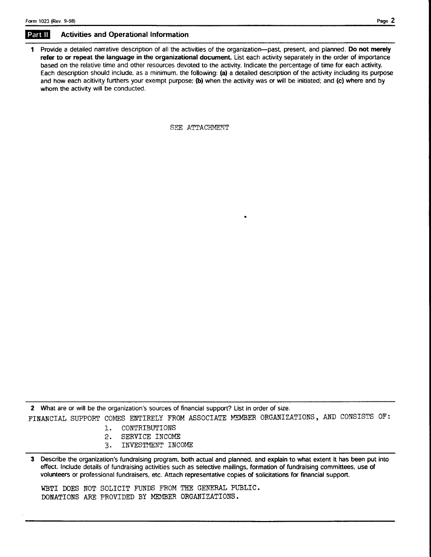# Part II Activities and Operational Information

1 Provide a detailed narrative description of all the activities of the organization-past, present, and planned. Do not merely refer to or repeat the language in the organizational document. List each activity separately in the order of importance based on the relative time and other resources devoted to the activity. Indicate the percentage of time for each activity. Each description should include, as a minimum, the following: (a) a detailed description of the activity including its purpose and how each acitivity furthers your exempt purpose; (b) when the activity was or will be initiated; and (c) where and by whom the activity will be conducted.

SEE ATTACHMENT

2 What are or will be the organization's sources of financial support? List in order of size. FINANCIAL SUPPORT COMES ENTIRELY FROM ASSOCIATE MEMBER ORGANIZATIONS, AND CONSISTS OF:

- 1. CONTRTBUTIONS
- 2, SERVICE INCOME
- 3. INVESTMENT INCOME

3 Describe the organization's fundraising program, both actual and planned. and explain to what extent it has been put inlo effect. Include details of fundraising activities such as selective mailings, formation of fundraising committees, use of volunteers or professional fundraisers, etc, Attach representative copies of solicitations for financial support.

WBTI DOES NOT SOLICIT FUNDS FROM THE GENERAL PUBLIC. DONATIONS ARE PROVIDED BY MEMBER ORGANIZATIONS.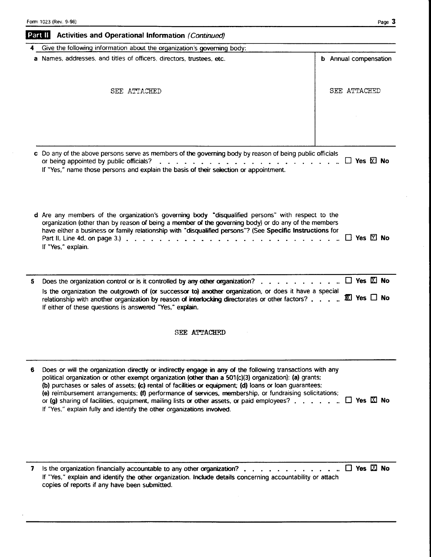|   | Part II<br>Activities and Operational Information (Continued)                                                                                                                                                                                                                                                                                                                    |                              |
|---|----------------------------------------------------------------------------------------------------------------------------------------------------------------------------------------------------------------------------------------------------------------------------------------------------------------------------------------------------------------------------------|------------------------------|
|   | Give the following information about the organization's governing body:                                                                                                                                                                                                                                                                                                          |                              |
|   | a Names, addresses, and titles of officers, directors, trustees, etc.                                                                                                                                                                                                                                                                                                            | <b>b</b> Annual compensation |
|   | SEE ATTACHED                                                                                                                                                                                                                                                                                                                                                                     | <b>SEE ATTACHED</b>          |
|   |                                                                                                                                                                                                                                                                                                                                                                                  |                              |
|   | c Do any of the above persons serve as members of the governing body by reason of being public officials                                                                                                                                                                                                                                                                         |                              |
|   | or being appointed by public officials?<br>.<br>If "Yes," name those persons and explain the basis of their selection or appointment.                                                                                                                                                                                                                                            | $\Box$ Yes $\boxtimes$ No    |
|   | d Are any members of the organization's governing body "disqualified persons" with respect to the<br>organization (other than by reason of being a member of the governing body) or do any of the members<br>have either a business or family relationship with "disqualified persons"? (See Specific Instructions for<br>If "Yes," explain.                                     | $\Box$ Yes $\boxtimes$ No    |
|   |                                                                                                                                                                                                                                                                                                                                                                                  |                              |
| 5 | Does the organization control or is it controlled by any other organization?.<br>Is the organization the outgrowth of (or successor to) another organization, or does it have a special<br>relationship with another organization by reason of interlocking directorates or other factors? $\mathbb E$ Yes $\Box$ No<br>If either of these questions is answered "Yes," explain. | $\Box$ Yes $\boxtimes$ No    |
|   |                                                                                                                                                                                                                                                                                                                                                                                  |                              |

- 6 Does or will the organization directly or indirectly engage in any of the following transactions with any political organization or other exempt organization (other than a 501(c)(3) organization): (a) grants; (b) purchases or sales of assets: (c) rental of facilities or equipment; (d) loans or loan guarantees; (e) reimbursement arrangements; (f) performance of services, membership, or fundraising solicitations; or (g) sharing of facilities, equipment, mailing lists or other assets, or paid employees?  $\ldots \ldots \square$  Yes  $\boxtimes$  No If "Yes," explain fully and identify the other organizations involved.
- 7 is the organization financially accountable to any other organization? . . . . . . . . . . . . .  $\Box$  Yes  $\boxtimes$  No If "Yes," explain and identify the other organization. Include details concerning accountability or attach copies of reports if any have been submitted.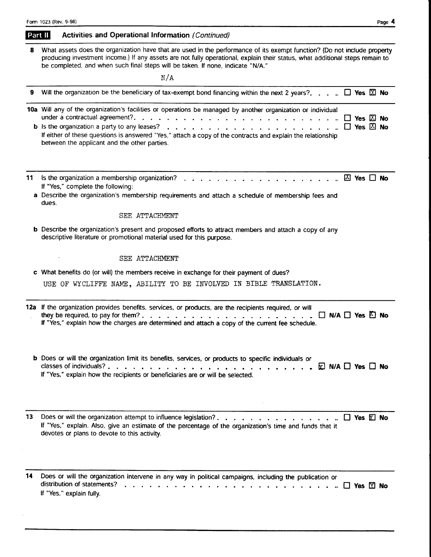| Part II | Activities and Operational Information (Continued) |  |  |  |
|---------|----------------------------------------------------|--|--|--|
|---------|----------------------------------------------------|--|--|--|

8 What assets does the organization have that are used in the performance of its exempt function? (Do not include property producing investment income.) lf any assets are not fully operational, explain their status, what additional steps remain to be completed, and when such final steps will be taken. lf none, indicate "N/A."

 $\overline{M}/A$ 

|    | N / A                                                                                                                                                                                                                                                                       |                                                        |  |
|----|-----------------------------------------------------------------------------------------------------------------------------------------------------------------------------------------------------------------------------------------------------------------------------|--------------------------------------------------------|--|
| 9  | Will the organization be the beneficiary of tax-exempt bond financing within the next 2 years?. $\Box$ Yes $\boxtimes$ No                                                                                                                                                   |                                                        |  |
|    | 10a Will any of the organization's facilities or operations be managed by another organization or individual<br>If either of these questions is answered "Yes," attach a copy of the contracts and explain the relationship<br>between the applicant and the other parties. | $\Box$ Yes $\boxtimes$ No<br>$\Box$ Yes $\boxtimes$ No |  |
| 11 | Is the organization a membership organization?<br>If "Yes," complete the following:<br>a Describe the organization's membership requirements and attach a schedule of membership fees and<br>dues.<br>SEE ATTACHMENT                                                        |                                                        |  |
|    | <b>b</b> Describe the organization's present and proposed efforts to attract members and attach a copy of any<br>descriptive literature or promotional material used for this purpose.                                                                                      |                                                        |  |
|    | SEE ATTACHMENT                                                                                                                                                                                                                                                              |                                                        |  |
|    | c What benefits do (or will) the members receive in exchange for their payment of dues?<br>USE OF WYCLIFFE NAME, ABILITY TO BE INVOLVED IN BIBLE TRANSLATION.                                                                                                               |                                                        |  |
|    | 12a If the organization provides benefits, services, or products, are the recipients required, or will<br>$\Box$ N/A $\Box$ Yes $\Box$ No<br>If "Yes," explain how the charges are determined and attach a copy of the current fee schedule.                                |                                                        |  |
|    | b Does or will the organization limit its benefits, services, or products to specific individuals or<br>$\nabla$ N/A $\Box$ Yes $\Box$ No<br>If "Yes," explain how the recipients or beneficiaries are or will be selected.                                                 |                                                        |  |
| 13 | Does or will the organization attempt to influence legislation?.<br>If "Yes," explain. Also, give an estimate of the percentage of the organization's time and funds that it<br>devotes or plans to devote to this activity.                                                | $\square$ Yes $\square$ No                             |  |
| 14 | Does or will the organization intervene in any way in political campaigns, including the publication or<br>distribution of statements?<br>$\mathbf{r}$ , $\mathbf{r}$ , $\mathbf{r}$<br>If "Yes," explain fully.                                                            | Yes M No                                               |  |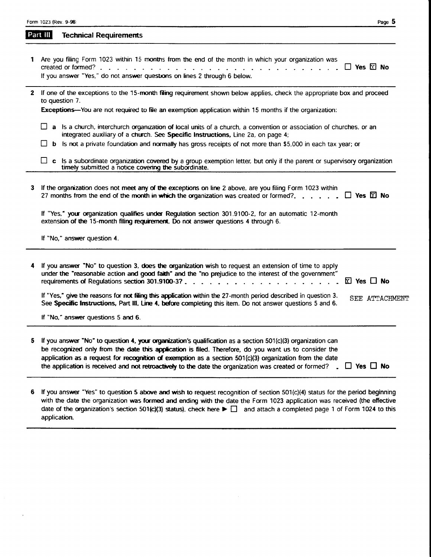|  |  |  | Form 1023 (Rev. 9-98) |
|--|--|--|-----------------------|
|--|--|--|-----------------------|

| Part III | <b>Technical Requirements</b> |  |
|----------|-------------------------------|--|
|          |                               |  |

| 1 Are you filing Form 1023 within 15 months from the end of the month in which your organization was |  |
|------------------------------------------------------------------------------------------------------|--|
|                                                                                                      |  |
| If you answer "Yes," do not answer questions on lines 2 through 6 below.                             |  |
|                                                                                                      |  |

|                |  | 2 If one of the exceptions to the 15-month filing requirement shown below applies, check the appropriate box and proceed |  |  |  |
|----------------|--|--------------------------------------------------------------------------------------------------------------------------|--|--|--|
| to question 7. |  |                                                                                                                          |  |  |  |
|                |  |                                                                                                                          |  |  |  |

Exceptions—You are not required to file an exemption application within 15 months if the organization:

- a Is a church, interchurch organization of local units of a church, a convention or association of churches, or an integrated auxiliary of a church. See Specific Instructions, Line 2a, on page 4;
- b Is not a private foundation and normally has gross receipts of not more than \$5,000 in each tax year; or

| $\Box$ c is a subordinate organization covered by a group exemption letter, but only if the parent or supervisory organization<br>timely submitted a notice covering the subordinate. |
|---------------------------------------------------------------------------------------------------------------------------------------------------------------------------------------|
|---------------------------------------------------------------------------------------------------------------------------------------------------------------------------------------|

| 3  | If the organization does not meet any of the exceptions on line 2 above, are you filing Form 1023 within<br>27 months from the end of the month in which the organization was created or formed?. $\Box$ Yes $\boxtimes$ No                                                                                                       |                |
|----|-----------------------------------------------------------------------------------------------------------------------------------------------------------------------------------------------------------------------------------------------------------------------------------------------------------------------------------|----------------|
|    | If "Yes," your organization qualifies under Requlation section 301.9100-2, for an automatic 12-month<br>extension of the 15-month filing requirement. Do not answer questions 4 through 6.                                                                                                                                        |                |
|    | If "No," answer question 4.                                                                                                                                                                                                                                                                                                       |                |
|    | 4 If you answer "No" to question 3, does the organization wish to request an extension of time to apply<br>under the "reasonable action and good faith" and the "no prejudice to the interest of the government"                                                                                                                  |                |
|    | If "Yes," give the reasons for not filing this application within the 27-month period described in question 3.<br>See Specific Instructions, Part III, Line 4, before completing this item. Do not answer questions 5 and 6.                                                                                                      | SEE ATTACHMENT |
|    | If "No," answer questions 5 and 6.                                                                                                                                                                                                                                                                                                |                |
| 5. | If you answer "No" to question 4, your organization's qualification as a section 501(c)(3) organization can<br>be recognized only from the date this application is filed. Therefore, do you want us to consider the<br>application as a request for recognition of exemption as a section $501(c)(3)$ organization from the date |                |

6 If you answer "Yes" to question 5 above and wish to request recognition of section 501(c)(4) status for the period beginning with the date the organization was formed and ending with the date the Form 1023 application was received (the effective date of the organization's section 501(c)(3) status), check here  $\blacktriangleright \Box$  and attach a completed page 1 of Form 1024 to this application.

the application is received and not retroactively to the date the organization was created or formed?  $\Box$  Yes  $\Box$  No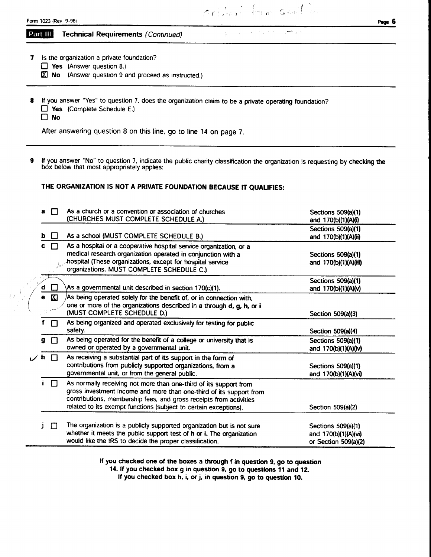| Form 1023 (Rev.<br>$9 - 98$ | Pan. |  |
|-----------------------------|------|--|
| -----                       |      |  |

Orilan form sent in

Special Company of the

أوال المتعي

Part III Technical Requirements (Continued)

7 Is the organization a private foundation?

- $\Box$  Yes (Answer question 8.)
- $X$  No (Answer question 9 and proceed as instructed.)
- 8 If you answer "Yes" to question 7, does the organization claim to be a private operating foundation?  $\Box$  Yes (Complete Schedule E.)

 $\Box$  No

After answering question 8 on this line, go to line 14 on page 7.

9 If you answer "No" to question 7, indicate the public charity classification the organization is requesting by checking the box below that most appropriately applies:

THE ORGANIZATION IS NOT A PRIVATE FOUNDATION BECAUSE IT QUALIFIES:

| a         | П      | As a church or a convention or association of churches                | Sections 509(a)(1)    |
|-----------|--------|-----------------------------------------------------------------------|-----------------------|
|           |        | (CHURCHES MUST COMPLETE SCHEDULE A.)                                  | and 170(b)(1)(A)(i)   |
|           |        |                                                                       | Sections 509(a)(1)    |
| b         |        | As a school (MUST COMPLETE SCHEDULE B.)                               | and 170(b)(1)(A)(ii)  |
| C         | П      | As a hospital or a cooperative hospital service organization, or a    |                       |
|           |        | medical research organization operated in conjunction with a          | Sections 509(a)(1)    |
|           |        | hospital (These organizations, except for hospital service            | and 170(b)(1)(A)(iii) |
|           |        | organizations, MUST COMPLETE SCHEDULE C.)                             |                       |
|           |        |                                                                       | Sections 509(a)(1)    |
| d         |        | As a governmental unit described in section 170(c)(1).                | and 170(b)(1)(A)(v)   |
| $\bullet$ | 囚      | As being operated solely for the benefit of, or in connection with,   |                       |
|           |        | one or more of the organizations described in a through d, g, h, or i |                       |
|           |        | (MUST COMPLETE SCHEDULE D.)                                           | Section 509(a)(3)     |
|           | П      | As being organized and operated exclusively for testing for public    |                       |
|           |        | safety.                                                               | Section 509(a)(4)     |
| 9.        | $\Box$ | As being operated for the benefit of a college or university that is  | Sections 509(a)(1)    |
|           |        | owned or operated by a governmental unit.                             | and 170(b)(1)(A)(iv)  |
| h.        | П      | As receiving a substantial part of its support in the form of         |                       |
|           |        | contributions from publicly supported organizations, from a           | Sections 509(a)(1)    |
|           |        | governmental unit, or from the general public.                        | and 170(b)(1)(A)(vi)  |
|           | $\Box$ | As normally receiving not more than one-third of its support from     |                       |
|           |        | gross investment income and more than one-third of its support from   |                       |
|           |        | contributions, membership fees, and gross receipts from activities    |                       |
|           |        | related to its exempt functions (subject to certain exceptions).      | Section 509(a)(2)     |
|           |        |                                                                       |                       |
|           | П      | The organization is a publicly supported organization but is not sure | Sections 509(a)(1)    |
|           |        | whether it meets the public support test of h or i. The organization  | and 170(b)(1)(A)(vi)  |
|           |        | would like the IRS to decide the proper classification.               | or Section 509(a)(2)  |

If you checked one of the boxes a through f in question 9, go to question

14. If you checked box g in question 9, go to questions 11 and 12.

If you checked box h, i, or j, in question 9, go to question 10.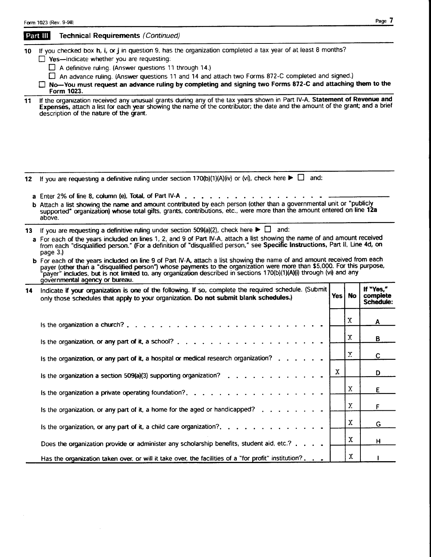|          | Form 1023 (Rev. 9-98)                                                                                                                                                                                                                                                                                                                                                                                                                                                                                                                                                                                                                                                                                                                                                    |     |           | rayc ,                             |  |  |
|----------|--------------------------------------------------------------------------------------------------------------------------------------------------------------------------------------------------------------------------------------------------------------------------------------------------------------------------------------------------------------------------------------------------------------------------------------------------------------------------------------------------------------------------------------------------------------------------------------------------------------------------------------------------------------------------------------------------------------------------------------------------------------------------|-----|-----------|------------------------------------|--|--|
|          | Part III<br>Technical Requirements (Continued)                                                                                                                                                                                                                                                                                                                                                                                                                                                                                                                                                                                                                                                                                                                           |     |           |                                    |  |  |
| 10<br>11 | If you checked box h, i, or j in question 9, has the organization completed a tax year of at least 8 months?<br>$\Box$ Yes-indicate whether you are requesting:<br>$\Box$ A definitive ruling. (Answer questions 11 through 14.)<br>An advance ruling. (Answer questions 11 and 14 and attach two Forms 872-C completed and signed.)<br>□ No-You must request an advance ruling by completing and signing two Forms 872-C and attaching them to the<br>Form 1023.<br>If the organization received any unusual grants during any of the tax years shown in Part IV-A, Statement of Revenue and<br>Expenses, attach a list for each year showing the name of the contributor; the date and the amount of the grant; and a brief<br>description of the nature of the grant. |     |           |                                    |  |  |
|          |                                                                                                                                                                                                                                                                                                                                                                                                                                                                                                                                                                                                                                                                                                                                                                          |     |           |                                    |  |  |
| 12       | If you are requesting a definitive ruling under section 170(b)(1)(A)(iv) or (vi), check here $\blacktriangleright \Box$ and:<br>a Enter 2% of line 8, column (e), Total, of Part IV-A.<br>b Attach a list showing the name and amount contributed by each person (other than a governmental unit or "publicly<br>supported" organization) whose total gifts, grants, contributions, etc., were more than the amount entered on line 12a<br>above.                                                                                                                                                                                                                                                                                                                        |     |           |                                    |  |  |
| 13 -     | If you are requesting a definitive ruling under section 509(a)(2), check here $\blacktriangleright \Box$ and:<br>a For each of the years included on lines 1, 2, and 9 of Part IV-A, attach a list showing the name of and amount received<br>from each "disqualified person." (For a definition of "disqualified person," see Specific Instructions, Part II, Line 4d, on<br>page 3.)<br>b For each of the years included on line 9 of Part IV-A, attach a list showing the name of and amount received from each<br>payer (other than a "disqualified person") whose payments to the organization were more than \$5,000. For this purpose,                                                                                                                            |     |           |                                    |  |  |
| 14       | payer" includes, but is not limited to, any organization described in sections 170(b)(1)(A)(i) through (vi) and any<br>governmental agency or bureau.<br>Indicate if your organization is one of the following. If so, complete the required schedule. (Submit<br>only those schedules that apply to your organization. Do not submit blank schedules.)                                                                                                                                                                                                                                                                                                                                                                                                                  | Yes | <b>No</b> | If "Yes,"<br>complete<br>Schedule: |  |  |
|          | Is the organization a church?.                                                                                                                                                                                                                                                                                                                                                                                                                                                                                                                                                                                                                                                                                                                                           |     | X         | Α                                  |  |  |
|          | Is the organization, or any part of it, a school?                                                                                                                                                                                                                                                                                                                                                                                                                                                                                                                                                                                                                                                                                                                        |     | Χ         | Þ                                  |  |  |
|          | Is the organization, or any part of it, a hospital or medical research organization?.                                                                                                                                                                                                                                                                                                                                                                                                                                                                                                                                                                                                                                                                                    |     | X         | C                                  |  |  |
|          | Is the organization a section 509(a)(3) supporting organization? $\ldots$ .                                                                                                                                                                                                                                                                                                                                                                                                                                                                                                                                                                                                                                                                                              | X   |           | D                                  |  |  |
|          | Is the organization a private operating foundation?. $\ldots$                                                                                                                                                                                                                                                                                                                                                                                                                                                                                                                                                                                                                                                                                                            |     | Х         | Ε                                  |  |  |
|          | Is the organization, or any part of it, a home for the aged or handicapped?                                                                                                                                                                                                                                                                                                                                                                                                                                                                                                                                                                                                                                                                                              |     | X.        | F                                  |  |  |
|          | Is the organization, or any part of it, a child care organization?.                                                                                                                                                                                                                                                                                                                                                                                                                                                                                                                                                                                                                                                                                                      |     | Χ         | G                                  |  |  |
|          | Does the organization provide or administer any scholarship benefits, student aid, etc.?                                                                                                                                                                                                                                                                                                                                                                                                                                                                                                                                                                                                                                                                                 |     | X         | н                                  |  |  |
|          | Has the organization taken over, or will it take over, the facilities of a "for profit" institution?.                                                                                                                                                                                                                                                                                                                                                                                                                                                                                                                                                                                                                                                                    |     | Χ         |                                    |  |  |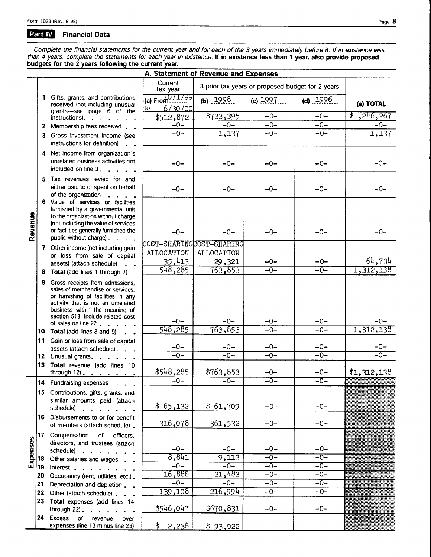$\ddot{\phantom{1}}$ 

#### Part IV **Financial Data**

Complete the financial statements for the current year and for each of the 3 years immediately before it. If in existence less than 4 years, complete the statements for each year in existence. If in existence less than 1 y

|          |    |                                                                                                                                                                                                                                               | A. Statement of Revenue and Expenses |                                                  |            |             |             |
|----------|----|-----------------------------------------------------------------------------------------------------------------------------------------------------------------------------------------------------------------------------------------------|--------------------------------------|--------------------------------------------------|------------|-------------|-------------|
|          |    |                                                                                                                                                                                                                                               | Current<br>tax year                  | 3 prior tax years or proposed budget for 2 years |            |             |             |
|          |    | 1 Gifts, grants, and contributions<br>received (not including unusual<br>grants-see page 6 of the                                                                                                                                             | (a) $From 10/1/99$<br>6/30/00<br>∤to | (b) $.1998$ .                                    | (c) $1997$ | (d) $.1996$ | (e) TOTAL   |
|          |    | instructions).                                                                                                                                                                                                                                | \$512.872                            | $\sqrt{$733,395}$                                | $-0-$      | $-0-$       | \$1,216,267 |
|          |    | 2 Membership fees received                                                                                                                                                                                                                    | $-0-$                                | $-0-$                                            | $-0-$      | $-0-$       | $-0-$       |
|          | 3  | Gross investment income (see<br>instructions for definition)                                                                                                                                                                                  | $-0-$                                | 1,137                                            | $-0-$      | $-0-$       | 1,137       |
|          |    | 4 Net income from organization's<br>unrelated business activities not<br>included on line 3, .                                                                                                                                                | $-0-$                                | $-0-$                                            | $-0-$      | $-0-$       | $-0-$       |
|          |    | 5 Tax revenues levied for and<br>either paid to or spent on behalf<br>of the organization                                                                                                                                                     | $-0-$                                | $-0-$                                            | $-0-$      | $-0-$       | $-0-$       |
| Revenue  |    | 6 Value of services or facilities<br>furnished by a governmental unit<br>to the organization without charge<br>(not including the value of services<br>or facilities generally furnished the<br>public without charge).                       | $-0-$                                | $-0-$                                            | $-0-$      | $-0-$       | $-0-$       |
|          |    |                                                                                                                                                                                                                                               | COST-SHARINGCOST-SHARING             |                                                  |            |             |             |
|          |    | 7 Other income (not including gain                                                                                                                                                                                                            | ALLOCATION                           | ALLOCATION                                       |            |             |             |
|          |    | or loss from sale of capital                                                                                                                                                                                                                  |                                      |                                                  |            |             |             |
|          |    | assets) (attach schedule)                                                                                                                                                                                                                     | 35,413                               | 29,321                                           | $-0-$      | $-0-$       | 64,734      |
|          |    | 8 Total (add lines 1 through 7)                                                                                                                                                                                                               | 548,285                              | 763,853                                          | $-0-$      | $-0-$       | 1,312,138   |
|          | 9  | Gross receipts from admissions,<br>sales of merchandise or services.<br>or furnishing of facilities in any<br>activity that is not an unrelated<br>business within the meaning of<br>section 513. Include related cost<br>of sales on line 22 | $-0-$                                | $-0-$                                            | $-0-$      | $-0-$       | $-0-$       |
|          |    | 10 Total (add lines 8 and 9)                                                                                                                                                                                                                  | 548,285                              | 763,853                                          | $-0-$      | $-0-$       | 1,312,138   |
|          |    | 11 Gain or loss from sale of capital                                                                                                                                                                                                          |                                      |                                                  |            |             |             |
|          |    | assets (attach schedule).<br>$\sim$                                                                                                                                                                                                           | $-0-$                                | $-0-$                                            | $-0-$      | $-0-$       | $-0-$       |
|          |    | 12 Unusual grants.                                                                                                                                                                                                                            | $-0-$                                | $-0-$                                            | $-0-$      | $-0-$       | $-0-$       |
|          | 13 | Total revenue (add lines 10                                                                                                                                                                                                                   |                                      |                                                  |            |             |             |
|          |    | through 12)                                                                                                                                                                                                                                   | \$548,285                            | \$763,853                                        | $-0-$      | $-0-$       | \$1,312,138 |
|          |    | 14 Fundraising expenses                                                                                                                                                                                                                       | $-0-$                                | $-0-$                                            | $-0-$      | $-0-$       |             |
|          |    | 15 Contributions, gifts, grants, and<br>similar amounts paid (attach<br>schedule)                                                                                                                                                             | \$65,132                             | \$61,709                                         | $-0-$      | $-0-$       |             |
|          |    | 16 Disbursements to or for benefit<br>of members (attach schedule).                                                                                                                                                                           | 316,078                              | 361,532                                          | $-0-$      | $-0-$       |             |
| Expenses |    | 17 Compensation<br>of<br>officers,<br>directors, and trustees (attach                                                                                                                                                                         | $-0-$                                | $-0-$                                            | $-0-$      | $-0-$       |             |
|          |    | schedule)                                                                                                                                                                                                                                     | 8,841                                | 9,113                                            | $-0-$      | $-0-$       |             |
|          | 18 | Other salaries and wages                                                                                                                                                                                                                      |                                      |                                                  |            |             |             |
|          | 19 | Interest                                                                                                                                                                                                                                      | $-0-$                                | $-0-$                                            | $-0-$      | $-0-$       |             |
|          | 20 | Occupancy (rent, utilities, etc.).                                                                                                                                                                                                            | 16,888                               | 21,483                                           | $-0-$      | $-0-$       |             |
|          | 21 | Depreciation and depletion                                                                                                                                                                                                                    | $-0-$                                | $-0-$                                            | $-0-$      | $-0-$       |             |
|          | 22 | Other (attach schedule)                                                                                                                                                                                                                       | 139,108                              | 216,994                                          | $-0-$      | $-0-$       |             |
|          |    | 23 Total expenses (add lines 14<br>through 22). $\cdots$ $\cdots$                                                                                                                                                                             | \$546,047                            | \$670,831                                        | $-0-$      | $-0-$       |             |
|          |    | 24 Excess<br>of<br>revenue<br>over<br>expenses (line 13 minus line 23)                                                                                                                                                                        | 2,238<br>\$                          | \$93,022                                         |            |             |             |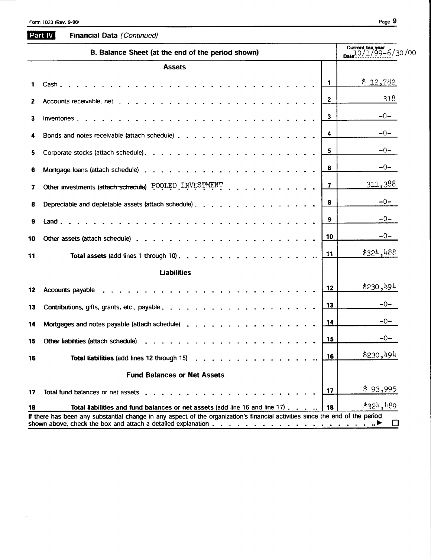18

|              | B. Balance Sheet (at the end of the period shown)     | Current tax year<br>$10/1/99 - 6/30/00$ |                         |
|--------------|-------------------------------------------------------|-----------------------------------------|-------------------------|
|              | <b>Assets</b>                                         |                                         |                         |
| 1            |                                                       | $\mathbf{1}$                            | \$12,782                |
| $\mathbf{2}$ |                                                       | $\mathbf{2}$                            | 318                     |
| 3            |                                                       | 3                                       | -0-                     |
|              |                                                       | 4                                       | $-0-$                   |
| 5            |                                                       | 5                                       | $-0-$                   |
| 6            |                                                       | 6                                       | $-0-$                   |
| 7            | Other investments (attach schedule) POOLED INVESTMENT | 7                                       | 311,388                 |
| 8            | Depreciable and depletable assets (attach schedule)   | 8                                       | $-0-$                   |
| 9            |                                                       | 9                                       | $-0-$                   |
| 10           |                                                       | 10                                      | $-0-$                   |
| 11           |                                                       | 11                                      | \$32 <sup>h</sup> , 488 |
|              | <b>Liabilities</b>                                    |                                         |                         |
| 12           |                                                       | 12                                      | \$230,194               |
| 13           |                                                       | 13                                      | $-0-$                   |
| 14           | Mortgages and notes payable (attach schedule)         | 14                                      | -0-                     |
| 15           |                                                       | 15                                      | $-0-$                   |
| 16           | Total liabilities (add lines 12 through 15)           | 16                                      | \$230,494               |
|              | <b>Fund Balances or Net Assets</b>                    |                                         |                         |
| 17           |                                                       | 17                                      | \$93,995                |

Total liabilities and fund balances or net assets (add line 16 and line 17). If there has been any substantial change in any aspect of the organization's financial activities since the end of the period shown above, check the box and attach a detailed explanation . . . . . . . . . . . . . . . . . .  $\Box$ 

 $*324,189$ 

18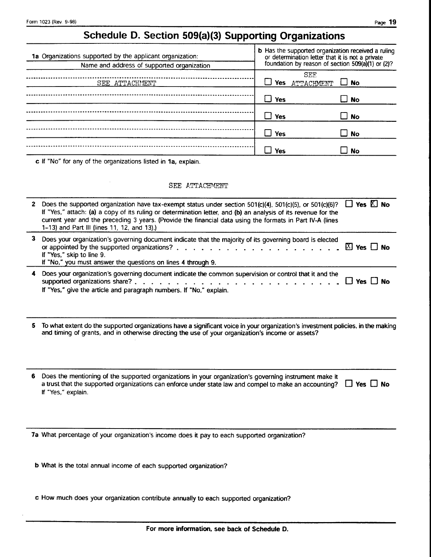# Schedule D. Section 509(a)(3) Supporting Organizations

| 1a Organizations supported by the applicant organization:<br>Name and address of supported organization | <b>b</b> Has the supported organization received a ruling or determination letter that it is not a private foundation by reason of section $509(a)(1)$ or $(2)?$ |                                |  |
|---------------------------------------------------------------------------------------------------------|------------------------------------------------------------------------------------------------------------------------------------------------------------------|--------------------------------|--|
| SEE ATTACHMENT                                                                                          | Yes                                                                                                                                                              | SEE<br>ATTACHMENT<br>$\Box$ No |  |
|                                                                                                         | Yes                                                                                                                                                              | ⊿ No                           |  |
|                                                                                                         | Yes                                                                                                                                                              | $\square$ No                   |  |
|                                                                                                         | Yes                                                                                                                                                              | ⊿ No                           |  |
|                                                                                                         | Yes                                                                                                                                                              | <b>No</b>                      |  |

c If "No" for any of the organizations listed in 1a, explain.

J.

#### SEE ATTACHMENT

|    | 2 Does the supported organization have tax-exempt status under section 501(c)(4), 501(c)(5), or 501(c)(6)?<br>If "Yes," attach: (a) a copy of its ruling or determination letter, and (b) an analysis of its revenue for the<br>current year and the preceding 3 years. (Provide the financial data using the formats in Part IV-A (lines<br>1-13) and Part III (lines 11, 12, and 13).) | $\Box$ Yes $\boxtimes$ No |    |
|----|------------------------------------------------------------------------------------------------------------------------------------------------------------------------------------------------------------------------------------------------------------------------------------------------------------------------------------------------------------------------------------------|---------------------------|----|
| 3  | Does your organization's governing document indicate that the majority of its governing board is elected<br>or appointed by the supported organizations?.<br>If "Yes," skip to line 9.<br>If "No," you must answer the questions on lines 4 through 9.                                                                                                                                   | $X$ Yes $\Box$ No         |    |
|    | Does your organization's governing document indicate the common supervision or control that it and the<br>supported organizations share?<br>$\mathbf{r}$ and $\mathbf{r}$ and $\mathbf{r}$<br>If "Yes," give the article and paragraph numbers. If "No," explain.                                                                                                                        | Yes I No                  |    |
|    | To what extent do the supported organizations have a significant voice in your organization's investment policies, in the making<br>and timing of grants, and in otherwise directing the use of your organization's income or assets?                                                                                                                                                    |                           |    |
| 6. | Does the mentioning of the supported organizations in your organization's governing instrument make it<br>a trust that the supported organizations can enforce under state law and compel to make an accounting?<br>If "Yes," explain.                                                                                                                                                   | $\sqcup$ Yes $\sqcup$     | No |
|    | 7a What percentage of your organization's income does it pay to each supported organization?                                                                                                                                                                                                                                                                                             |                           |    |
|    | b What is the total annual income of each supported organization?                                                                                                                                                                                                                                                                                                                        |                           |    |

c How much does your organization contribute annually to each supported organization?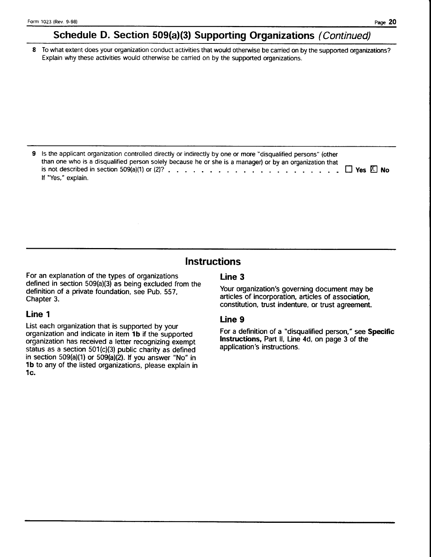# Schedule D. Section 509(a)(3) Supporting Organizations (Continued)

8 To what extent does your organization conduct activities that would otherwise be carried on by the supported organizations? Explain why these activities would otherwise be canied on by the supported organizations.

9 Is the applicant organization controlled directly or indirectly by one or more "disqualified persons" (other than one who is a disqualified person solely because he or she is a manager) or by an organization that is not described in section 509(a)(1) or (2)?  $\ldots$ ,  $\ldots$ ,  $\ldots$ ,  $\ldots$ ,  $\ldots$ ,  $\ldots$ ,  $\ldots$ ,  $\Box$  Yes  $\Box$  No lf "Yes," explain.

# **Instructions**

For an explanation of the types of organizations defined in section  $509(a)(3)$  as being excluded from the definition of a private foundation, see Pub. 557. Chapter 3.

## Line 1

List each organization that is supported by your organization and indicate in item 1b if the supported organization has received a letter recognizing exempt status as a section  $501(c)(3)$  public charity as defined in section  $509(a)(1)$  or  $509(a)(2)$ . If you answer "No" in 1b to any of the listed organizations, please explain in 1c.

# Line 3

Your organization's governing document may be articles of incorporation, articles of association, constitution, trust indenture, or trust agreement.

## Line 9

For a definition of a "disqualified person," see Specific Instructions, Part II, Line 4d, on page 3 of the application's instructions.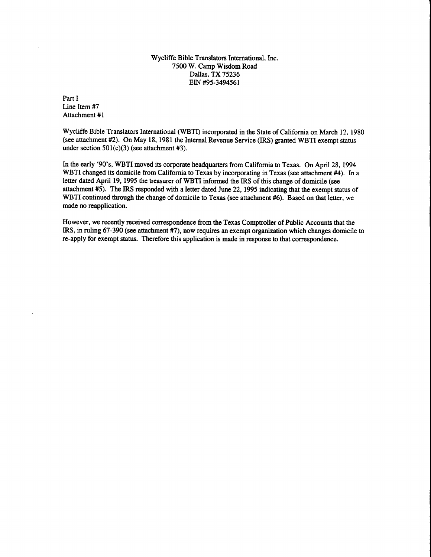Wycliffe Bible Translators International, Inc. 7500 W. Camp Wisdom Road Dallas, TX 75236 EIN #95-3494561

Part I Line Item #7 Attachment #l

Wycliffe Bible Translators International (WBTI) incorporated in the State of California on March 12, 1980 (see attachment #2). On May 18, 1981 the Internal Revenue Service (IRS) granted WBTI exempt status under section  $501(c)(3)$  (see attachment #3).

In the early '90's, WBTI moved its corporate headquarters from California to Texas. On April 28,1994 WBTI changed its domicile from California to Texas by incorporating in Texas (see attachment #4). In a letter dated April 19, 1995 the treasurer of WBTI informed the IRS of this change of domicile (see attachment #5). The IRS responded with a letter dated June 22,1995 indicating that the exempt status of WBTI continued through the change of domicile to Texas (see attachment #6). Based on that letter, we made no reapplication.

However, we recently received correspondence from the Texas Comptroller of Public Accounts that the IRS, in ruling 67-390 (see attachment #7), now requires an exempt organization which changes domicile to re-apply for exempt status. Therefore this application is made in response to that correspondence.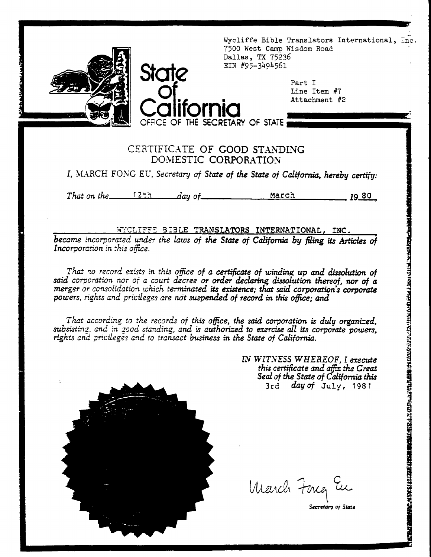

Wycliffe Bible Translators International, Inc. 7500 West Camp Wisdom Road Dallas, TX 75236 EIN #95-3494561

> Part I Line Item #7 Attachment #2

# CERTIFICATE OF GOOD STANDING DOMESTIC CORPORATION

OFFICE OF THE SECRETARY OF STATE

State

I. MARCH FONG EU, Secretary of State of the State of California, hereby certify:

That on the  $\frac{12\pm\pi}{\pi}$  day of March 1980

# WYCLIFFE BIBLE TRANSLATORS INTERNATIONAL, INC.

became incorporated under the laws of the State of California by filing its Articles of Incorporation in this office.

That no record exists in this office of a certificate of winding up and dissolution of said corporation nor of a court decree or order declaring dissolution thereof, nor of a merger or consolidation which terminated its existence; that said corporation's corporate powers, rights and privileges are not suspended of record in this office; and

That according to the records of this office, the said corporation is duly organized, subsisting, and in good standing, and is authorized to exercise all its corporate powers. rights and privileges and to transact business in the State of California.

> IN WITNESS WHEREOF, I execute this certificate and affix the Great Seal of the State of California this  $3rd$  day of July, 1981

**seno antico de compressiones de la contradidad de la contradida de contradidad de contradidade de contradistan** 

March Fong in

Secretary of State